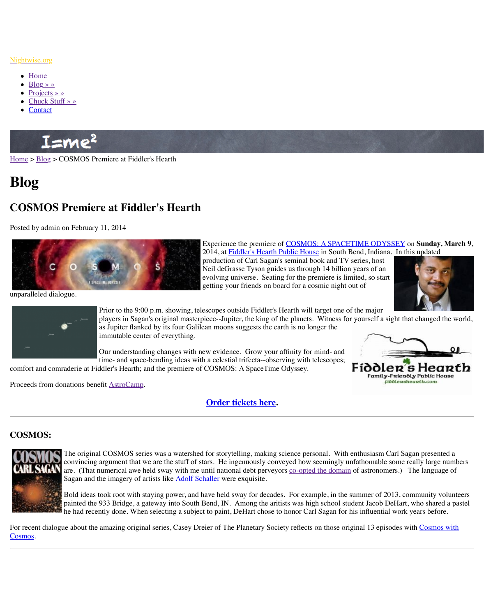

Experience the premiere of COSMOS: A SPACETIME ODYSSEY on **Sunday, March 9**, 2014, at Fiddler's Hearth Pu production of Carl Sagan's s Neil deGrasse Tyson guides evolving universe. Seating for getting your friends on board

unparalleled dialogue.



Prior to the 9:00 p.m. showing, telescopes outside Fiddler's He players in Sagan's original masterpiece--Jupiter, the king of the as Jupiter flanked by its four Galilean moons suggests the earth immutable center of everything.

Our understanding changes with new evidence. Grow your aff time- and space-bending ideas with a celestial trifecta--observing

comfort and comraderie at Fiddler's Hearth; and the premiere of COSMOS: A SpaceTime O

Proceeds from donations benefit AstroCamp.

**Order tickets here.**

## **COSMOS:**



The original COSMOS series was a watershed for storytelling, making sci convincing argument that we are the stuff of stars. He ingenuously convey are. (That numerical awe held sway with me until national debt perveyors Sagan and the imagery of artists like Adolf Schaller were exquisite.

Bold ideas took root with staying power, and have held sway for decades. painted the 933 Bridge, a gateway into South Bend, IN. Among the aritist he had recently done. When selecting a subject to paint, DeHart chose to h

For recent dialogue about the amazing original series, Casey Dreier of The Planetary Society Cosmos.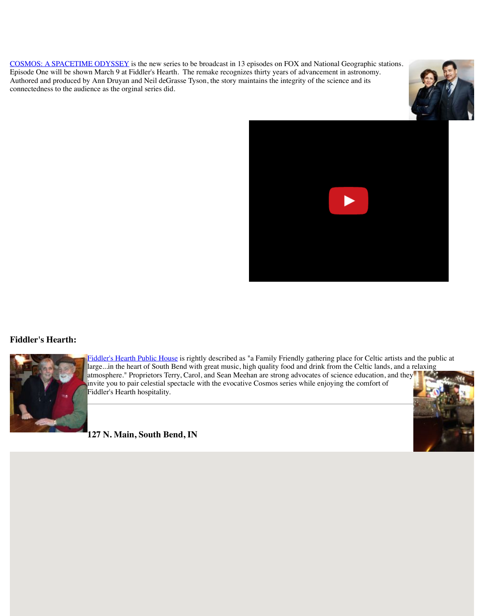#### **Fiddler's Hearth:**



Fiddler's Hearth Public House is rightly described as "a Family Fri large...in the heart of South Bend with great music, high quality fo atmosphere." Proprietors Terry, Carol, and Sean Meehan are strong invite you to pair celestial spectacle with the evocative Cosmos ser Fiddler's Hearth hospitality.

### **127 N. Main, South Bend, IN**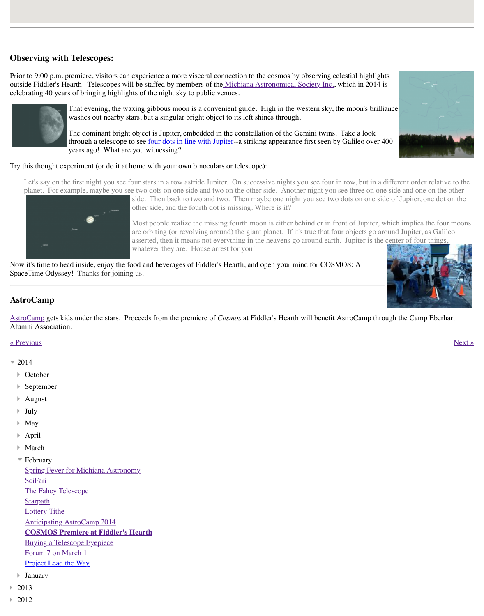

Now it's time to head inside, enjoy the food and beverages of Fiddler's Hearth, and open you SpaceTime Odyssey! Thanks for joining us.

# **AstroCamp**

AstroCamp gets kids under the stars. Proceeds from the premiere of *Cosmos* at Fiddler's He Alumni Association.

« Previous » Next » Next » Next » Next » Next » Next » Next » Next » Next » Next » Next » Next » Next » Next » Next » Next » Next » Next » Next » Next » Next » Next » Next » Next » Next » Next » Next » Next » Next » Next »

- $= 2014$ 
	- **October** Þ.
	- September Þ
	- August Þ
	- July
	- May Þ
	- April Þ
	- March Þ
	- February

Spring Fever for Michiana Astronomy

**SciFari** 

The Fahey Telescope

**Starpath** 

**Lottery Tithe** 

Anticipating AstroCamp 2014

### **COSMOS Premiere at Fiddler's Hearth**

Buying a Telescope Eyepiece

Forum 7 on March 1

[Project](http://www.astrocamp.us/) Lead the Way

- January
- [2013](http://www.nightwise.org/blog/astrocamp-2014/)
- 2012